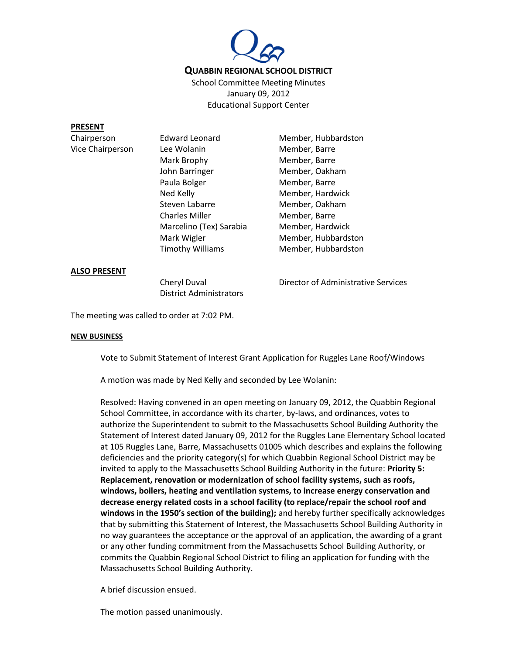

School Committee Meeting Minutes January 09, 2012 Educational Support Center

## **PRESENT**

Vice Chairperson Lee Wolanin Member, Barre Mark Brophy Member, Barre John Barringer Member, Oakham Paula Bolger Member, Barre Ned Kelly **Member**, Hardwick Steven Labarre Member, Oakham Charles Miller Member, Barre Marcelino (Tex) Sarabia Member, Hardwick Mark Wigler **Member**, Hubbardston

Chairperson Edward Leonard Member, Hubbardston Timothy Williams Member, Hubbardston

## **ALSO PRESENT**

District Administrators

Cheryl Duval Director of Administrative Services

The meeting was called to order at 7:02 PM.

## **NEW BUSINESS**

Vote to Submit Statement of Interest Grant Application for Ruggles Lane Roof/Windows

A motion was made by Ned Kelly and seconded by Lee Wolanin:

Resolved: Having convened in an open meeting on January 09, 2012, the Quabbin Regional School Committee, in accordance with its charter, by-laws, and ordinances, votes to authorize the Superintendent to submit to the Massachusetts School Building Authority the Statement of Interest dated January 09, 2012 for the Ruggles Lane Elementary School located at 105 Ruggles Lane, Barre, Massachusetts 01005 which describes and explains the following deficiencies and the priority category(s) for which Quabbin Regional School District may be invited to apply to the Massachusetts School Building Authority in the future: **Priority 5: Replacement, renovation or modernization of school facility systems, such as roofs, windows, boilers, heating and ventilation systems, to increase energy conservation and decrease energy related costs in a school facility (to replace/repair the school roof and windows in the 1950's section of the building);** and hereby further specifically acknowledges that by submitting this Statement of Interest, the Massachusetts School Building Authority in no way guarantees the acceptance or the approval of an application, the awarding of a grant or any other funding commitment from the Massachusetts School Building Authority, or commits the Quabbin Regional School District to filing an application for funding with the Massachusetts School Building Authority.

A brief discussion ensued.

The motion passed unanimously.